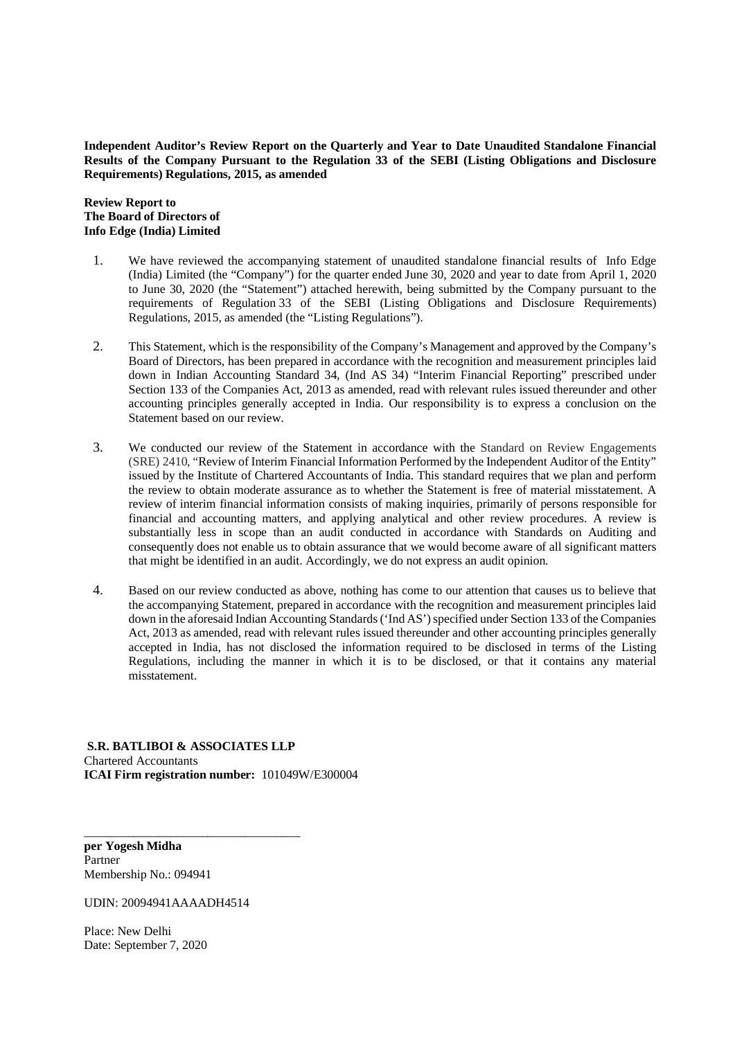**Independent Auditor's Review Report on the Quarterly and Year to Date Unaudited Standalone Financial Results of the Company Pursuant to the Regulation 33 of the SEBI (Listing Obligations and Disclosure Requirements) Regulations, 2015, as amended**

**Review Report to The Board of Directors of Info Edge (India) Limited**

- 1. We have reviewed the accompanying statement of unaudited standalone financial results of Info Edge (India) Limited (the "Company") for the quarter ended June 30, 2020 and year to date from April 1, 2020 to June 30, 2020 (the "Statement") attached herewith, being submitted by the Company pursuant to the requirements of Regulation 33 of the SEBI (Listing Obligations and Disclosure Requirements) Regulations, 2015, as amended (the "Listing Regulations").
- 2. This Statement, which is the responsibility of the Company's Management and approved by the Company's Board of Directors, has been prepared in accordance with the recognition and measurement principles laid down in Indian Accounting Standard 34, (Ind AS 34) "Interim Financial Reporting" prescribed under Section 133 of the Companies Act, 2013 as amended, read with relevant rules issued thereunder and other accounting principles generally accepted in India. Our responsibility is to express a conclusion on the Statement based on our review.
- 3. We conducted our review of the Statement in accordance with the Standard on Review Engagements (SRE) 2410, "Review of Interim Financial Information Performed by the Independent Auditor of the Entity" issued by the Institute of Chartered Accountants of India. This standard requires that we plan and perform the review to obtain moderate assurance as to whether the Statement is free of material misstatement. A review of interim financial information consists of making inquiries, primarily of persons responsible for financial and accounting matters, and applying analytical and other review procedures. A review is substantially less in scope than an audit conducted in accordance with Standards on Auditing and consequently does not enable us to obtain assurance that we would become aware of all significant matters that might be identified in an audit. Accordingly, we do not express an audit opinion.
- 4. Based on our review conducted as above, nothing has come to our attention that causes us to believe that the accompanying Statement, prepared in accordance with the recognition and measurement principles laid down in the aforesaid Indian Accounting Standards ('Ind AS') specified under Section 133 of the Companies Act, 2013 as amended, read with relevant rules issued thereunder and other accounting principles generally accepted in India, has not disclosed the information required to be disclosed in terms of the Listing Regulations, including the manner in which it is to be disclosed, or that it contains any material misstatement.

 **S.R. BATLIBOI & ASSOCIATES LLP** Chartered Accountants **ICAI Firm registration number:** 101049W/E300004

**per Yogesh Midha** Partner Membership No.: 094941

UDIN: 20094941AAAADH4514

\_\_\_\_\_\_\_\_\_\_\_\_\_\_\_\_\_\_\_\_\_\_\_\_\_\_\_\_\_\_\_\_\_\_\_

Place: New Delhi Date: September 7, 2020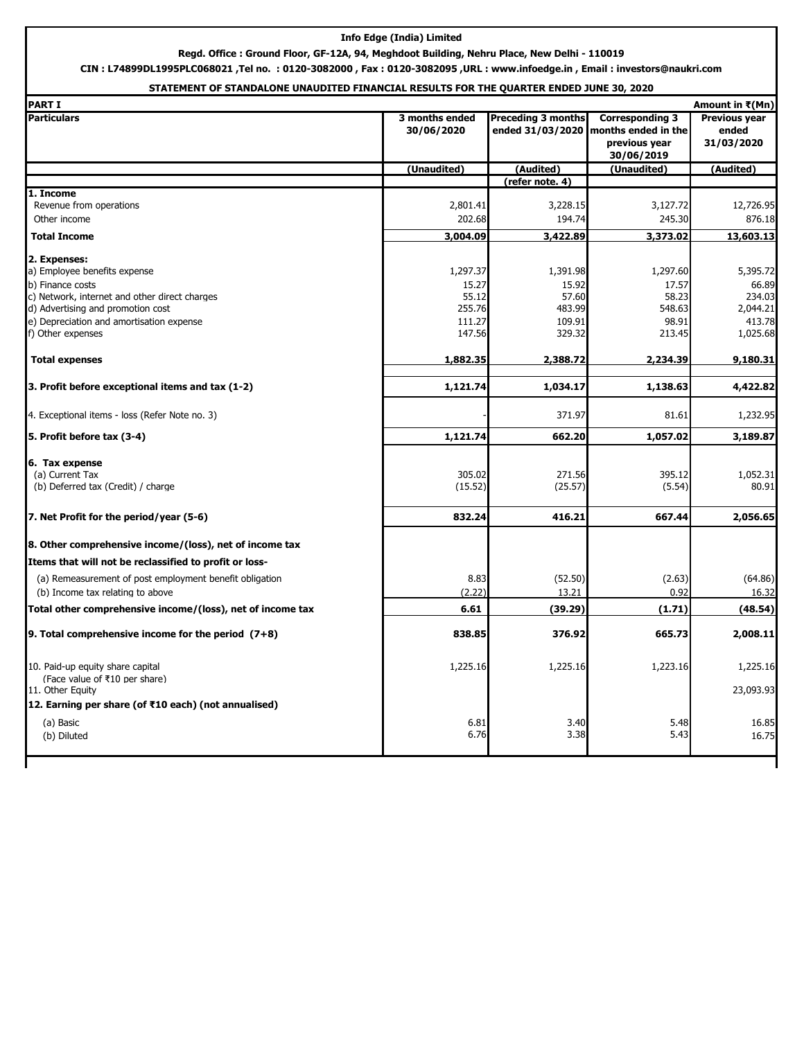#### **Info Edge (India) Limited**

### **Regd. Office : Ground Floor, GF-12A, 94, Meghdoot Building, Nehru Place, New Delhi - 110019**

**CIN : L74899DL1995PLC068021 ,Tel no. : 0120-3082000 , Fax : 0120-3082095 ,URL : www.infoedge.in , Email : investors@naukri.com**

### **STATEMENT OF STANDALONE UNAUDITED FINANCIAL RESULTS FOR THE QUARTER ENDED JUNE 30, 2020**

| <b>PART I</b>                                                     |                              |                                               |                                                                              | Amount in ₹(Mn)                             |
|-------------------------------------------------------------------|------------------------------|-----------------------------------------------|------------------------------------------------------------------------------|---------------------------------------------|
| <b>Particulars</b>                                                | 3 months ended<br>30/06/2020 | <b>Preceding 3 months</b><br>ended 31/03/2020 | <b>Corresponding 3</b><br>months ended in the<br>previous year<br>30/06/2019 | <b>Previous year</b><br>ended<br>31/03/2020 |
|                                                                   | (Unaudited)                  | (Audited)                                     | (Unaudited)                                                                  | (Audited)                                   |
|                                                                   |                              | (refer note. 4)                               |                                                                              |                                             |
| 1. Income                                                         |                              |                                               |                                                                              |                                             |
| Revenue from operations<br>Other income                           | 2,801.41<br>202.68           | 3,228.15<br>194.74                            | 3,127.72<br>245.30                                                           | 12,726.95<br>876.18                         |
|                                                                   |                              |                                               |                                                                              |                                             |
| <b>Total Income</b>                                               | 3,004.09                     | 3,422.89                                      | 3,373.02                                                                     | 13,603.13                                   |
| 2. Expenses:                                                      |                              |                                               |                                                                              |                                             |
| a) Employee benefits expense                                      | 1,297.37                     | 1,391.98                                      | 1,297.60                                                                     | 5,395.72                                    |
| b) Finance costs                                                  | 15.27                        | 15.92                                         | 17.57                                                                        | 66.89                                       |
| c) Network, internet and other direct charges                     | 55.12                        | 57.60                                         | 58.23                                                                        | 234.03                                      |
| d) Advertising and promotion cost                                 | 255.76                       | 483.99                                        | 548.63                                                                       | 2,044.21                                    |
| e) Depreciation and amortisation expense                          | 111.27                       | 109.91                                        | 98.91                                                                        | 413.78                                      |
| f) Other expenses                                                 | 147.56                       | 329.32                                        | 213.45                                                                       | 1,025.68                                    |
| <b>Total expenses</b>                                             | 1,882.35                     | 2,388.72                                      | 2,234.39                                                                     | 9,180.31                                    |
| 3. Profit before exceptional items and tax (1-2)                  | 1,121.74                     | 1,034.17                                      | 1,138.63                                                                     | 4,422.82                                    |
| 4. Exceptional items - loss (Refer Note no. 3)                    |                              | 371.97                                        | 81.61                                                                        | 1,232.95                                    |
| 5. Profit before tax (3-4)                                        | 1,121.74                     | 662.20                                        | 1,057.02                                                                     | 3,189.87                                    |
|                                                                   |                              |                                               |                                                                              |                                             |
| 6. Tax expense                                                    |                              |                                               |                                                                              |                                             |
| (a) Current Tax                                                   | 305.02                       | 271.56                                        | 395.12                                                                       | 1,052.31                                    |
| (b) Deferred tax (Credit) / charge                                | (15.52)                      | (25.57)                                       | (5.54)                                                                       | 80.91                                       |
| 7. Net Profit for the period/year (5-6)                           | 832.24                       | 416.21                                        | 667.44                                                                       | 2,056.65                                    |
| 8. Other comprehensive income/(loss), net of income tax           |                              |                                               |                                                                              |                                             |
| Items that will not be reclassified to profit or loss-            |                              |                                               |                                                                              |                                             |
| (a) Remeasurement of post employment benefit obligation           | 8.83                         | (52.50)                                       | (2.63)                                                                       | (64.86)                                     |
| (b) Income tax relating to above                                  | (2.22)                       | 13.21                                         | 0.92                                                                         | 16.32                                       |
| Total other comprehensive income/(loss), net of income tax        | 6.61                         | (39.29)                                       | (1.71)                                                                       | (48.54)                                     |
| 9. Total comprehensive income for the period (7+8)                | 838.85                       | 376.92                                        | 665.73                                                                       | 2,008.11                                    |
|                                                                   |                              |                                               |                                                                              |                                             |
| 10. Paid-up equity share capital<br>(Face value of ₹10 per share) | 1,225.16                     | 1,225.16                                      | 1,223.16                                                                     | 1,225.16                                    |
| 11. Other Equity                                                  |                              |                                               |                                                                              | 23,093.93                                   |
| 12. Earning per share (of ₹10 each) (not annualised)              |                              |                                               |                                                                              |                                             |
| (a) Basic                                                         | 6.81                         | 3.40                                          | 5.48                                                                         | 16.85                                       |
| (b) Diluted                                                       | 6.76                         | 3.38                                          | 5.43                                                                         | 16.75                                       |
|                                                                   |                              |                                               |                                                                              |                                             |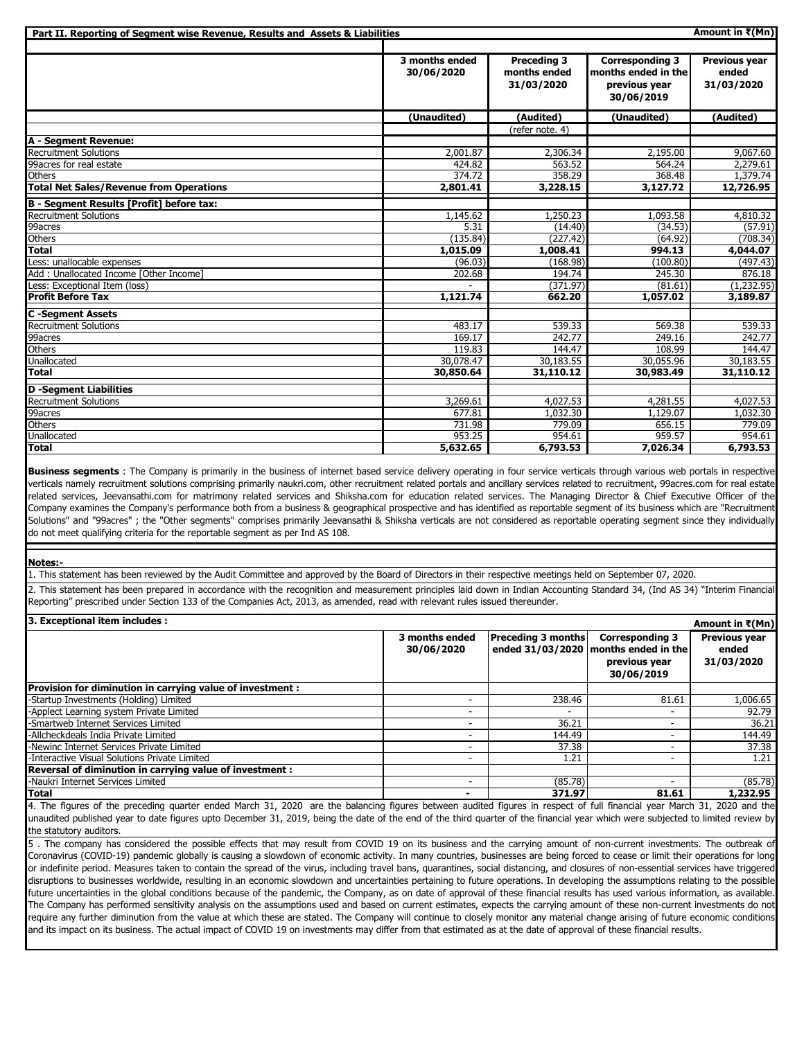| Part II. Reporting of Segment wise Revenue, Results and Assets & Liabilities |                              |                                                  |                                                                              | Amount in $\overline{\mathbf{t}}(Mn)$ |
|------------------------------------------------------------------------------|------------------------------|--------------------------------------------------|------------------------------------------------------------------------------|---------------------------------------|
|                                                                              | 3 months ended<br>30/06/2020 | <b>Preceding 3</b><br>months ended<br>31/03/2020 | <b>Corresponding 3</b><br>months ended in the<br>previous year<br>30/06/2019 | Previous year<br>ended<br>31/03/2020  |
|                                                                              | (Unaudited)                  | (Audited)                                        | (Unaudited)                                                                  | (Audited)                             |
|                                                                              |                              | (refer note. 4)                                  |                                                                              |                                       |
| A - Segment Revenue:                                                         |                              |                                                  |                                                                              |                                       |
| <b>Recruitment Solutions</b>                                                 | 2,001.87                     | 2,306.34                                         | 2,195.00                                                                     | 9,067.60                              |
| 99acres for real estate                                                      | 424.82                       | 563.52                                           | 564.24                                                                       | 2,279.61                              |
| Others                                                                       | 374.72                       | 358.29                                           | 368.48                                                                       | 1,379.74                              |
| <b>Total Net Sales/Revenue from Operations</b>                               | 2,801.41                     | 3,228.15                                         | 3,127.72                                                                     | 12,726.95                             |
| B - Segment Results [Profit] before tax:                                     |                              |                                                  |                                                                              |                                       |
| <b>Recruitment Solutions</b>                                                 | 1,145.62                     | 1,250.23                                         | 1,093.58                                                                     | 4,810.32                              |
| 99acres                                                                      | 5.31                         | (14.40)                                          | (34.53)                                                                      | (57.91)                               |
| <b>Others</b>                                                                | (135.84)                     | (227.42)                                         | (64.92)                                                                      | (708.34)                              |
| <b>Total</b>                                                                 | 1,015.09                     | 1,008.41                                         | 994.13                                                                       | 4,044.07                              |
| Less: unallocable expenses                                                   | (96.03)                      | (168.98)                                         | (100.80)                                                                     | (497.43)                              |
| Add: Unallocated Income [Other Income]                                       | 202.68                       | 194.74                                           | 245.30                                                                       | 876.18                                |
| Less: Exceptional Item (loss)                                                |                              | (371.97)                                         | (81.61)                                                                      | (1,232.95)                            |
| <b>Profit Before Tax</b>                                                     | 1,121.74                     | 662.20                                           | 1,057.02                                                                     | 3,189.87                              |
| <b>C</b> -Segment Assets                                                     |                              |                                                  |                                                                              |                                       |
| <b>Recruitment Solutions</b>                                                 | 483.17                       | 539.33                                           | 569.38                                                                       | 539.33                                |
| 99acres                                                                      | 169.17                       | 242.77                                           | 249.16                                                                       | 242.77                                |
| <b>Others</b>                                                                | 119.83                       | 144.47                                           | 108.99                                                                       | 144.47                                |
| Unallocated                                                                  | 30,078.47                    | 30,183.55                                        | 30,055.96                                                                    | 30,183.55                             |
| <b>Total</b>                                                                 | 30,850.64                    | 31,110.12                                        | 30,983.49                                                                    | 31,110.12                             |
| <b>D</b> -Segment Liabilities                                                |                              |                                                  |                                                                              |                                       |
| Recruitment Solutions                                                        | 3,269.61                     | 4,027.53                                         | 4,281.55                                                                     | 4,027.53                              |
| 99acres                                                                      | 677.81                       | 1,032.30                                         | 1,129.07                                                                     | 1,032.30                              |
| <b>Others</b>                                                                | 731.98                       | 779.09                                           | 656.15                                                                       | 779.09                                |
| Unallocated                                                                  | 953.25                       | 954.61                                           | 959.57                                                                       | 954.61                                |
| Total                                                                        | 5,632.65                     | 6,793.53                                         | 7,026.34                                                                     | 6,793.53                              |

**Business segments** : The Company is primarily in the business of internet based service delivery operating in four service verticals through various web portals in respective verticals namely recruitment solutions comprising primarily naukri.com, other recruitment related portals and ancillary services related to recruitment, 99acres.com for real estate related services, Jeevansathi.com for matrimony related services and Shiksha.com for education related services. The Managing Director & Chief Executive Officer of the Company examines the Company's performance both from a business & geographical prospective and has identified as reportable segment of its business which are "Recruitment Solutions" and "99acres" ; the "Other segments" comprises primarily Jeevansathi & Shiksha verticals are not considered as reportable operating segment since they individually do not meet qualifying criteria for the reportable segment as per Ind AS 108.

#### **Notes:-**

1. This statement has been reviewed by the Audit Committee and approved by the Board of Directors in their respective meetings held on September 07, 2020.

2. This statement has been prepared in accordance with the recognition and measurement principles laid down in Indian Accounting Standard 34, (Ind AS 34) "Interim Financial Reporting" prescribed under Section 133 of the Companies Act, 2013, as amended, read with relevant rules issued thereunder.

| 3. Exceptional item includes :                             |                              |                           |                                                                                               | Amount in ₹(Mn)                             |
|------------------------------------------------------------|------------------------------|---------------------------|-----------------------------------------------------------------------------------------------|---------------------------------------------|
|                                                            | 3 months ended<br>30/06/2020 | <b>Preceding 3 months</b> | <b>Corresponding 3</b><br>ended 31/03/2020 months ended in the<br>previous year<br>30/06/2019 | <b>Previous year</b><br>ended<br>31/03/2020 |
| Provision for diminution in carrying value of investment : |                              |                           |                                                                                               |                                             |
| -Startup Investments (Holding) Limited                     | $\overline{\phantom{a}}$     | 238.46                    | 81.61                                                                                         | 1,006.65                                    |
| -Applect Learning system Private Limited                   |                              | ٠                         | -                                                                                             | 92.79                                       |
| -Smartweb Internet Services Limited                        | $\overline{\phantom{a}}$     | 36.21                     | -                                                                                             | 36.21                                       |
| -Allcheckdeals India Private Limited                       |                              | 144.49                    | -                                                                                             | 144.49                                      |
| -Newinc Internet Services Private Limited                  | $\overline{\phantom{a}}$     | 37.38                     | ۰                                                                                             | 37.38                                       |
| -Interactive Visual Solutions Private Limited              | $\overline{\phantom{a}}$     | 1.21                      | -                                                                                             | 1.21                                        |
| Reversal of diminution in carrying value of investment :   |                              |                           |                                                                                               |                                             |
| -Naukri Internet Services Limited                          |                              | (85.78)                   | -                                                                                             | (85.78)                                     |
| <b>Total</b>                                               |                              | 371.97                    | 81.61                                                                                         | 1,232.95                                    |

4. The figures of the preceding quarter ended March 31, 2020 are the balancing figures between audited figures in respect of full financial year March 31, 2020 and the unaudited published year to date figures upto December 31, 2019, being the date of the end of the third quarter of the financial year which were subjected to limited review by the statutory auditors.

5 . The company has considered the possible effects that may result from COVID 19 on its business and the carrying amount of non-current investments. The outbreak of Coronavirus (COVID-19) pandemic globally is causing a slowdown of economic activity. In many countries, businesses are being forced to cease or limit their operations for long or indefinite period. Measures taken to contain the spread of the virus, including travel bans, quarantines, social distancing, and closures of non-essential services have triggered disruptions to businesses worldwide, resulting in an economic slowdown and uncertainties pertaining to future operations. In developing the assumptions relating to the possible future uncertainties in the global conditions because of the pandemic, the Company, as on date of approval of these financial results has used various information, as available. The Company has performed sensitivity analysis on the assumptions used and based on current estimates, expects the carrying amount of these non-current investments do not require any further diminution from the value at which these are stated. The Company will continue to closely monitor any material change arising of future economic conditions and its impact on its business. The actual impact of COVID 19 on investments may differ from that estimated as at the date of approval of these financial results.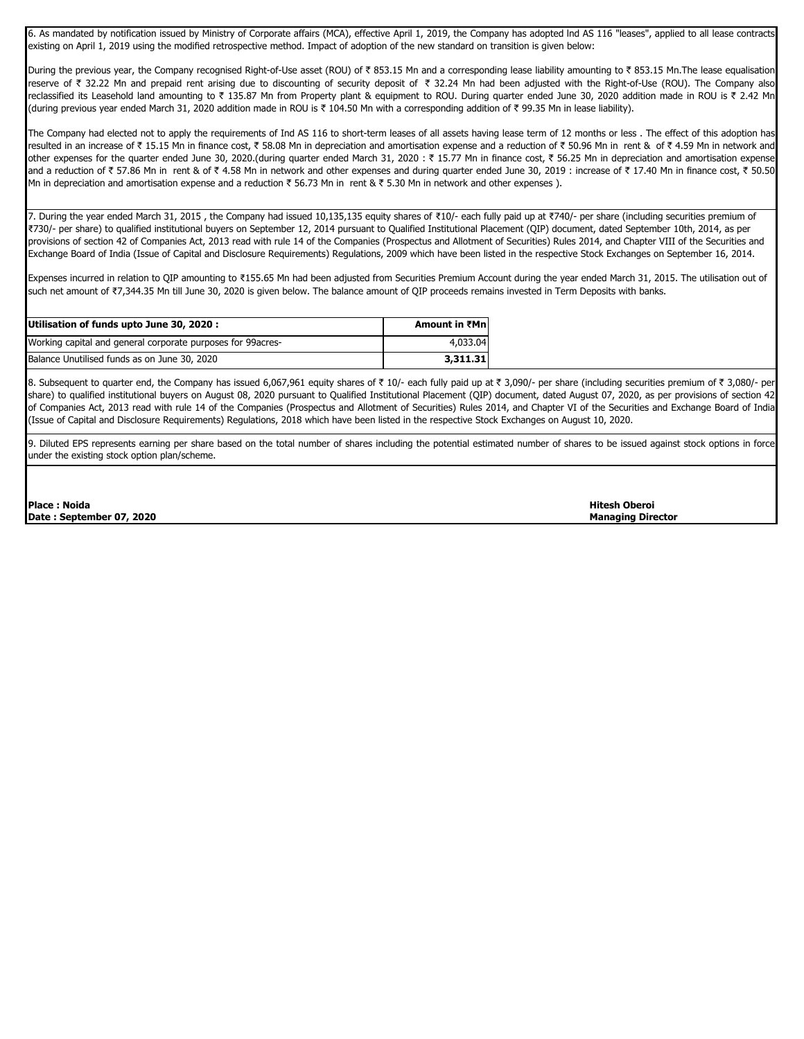6. As mandated by notification issued by Ministry of Corporate affairs (MCA), effective April 1, 2019, the Company has adopted lnd AS 116 "leases", applied to all lease contracts existing on April 1, 2019 using the modified retrospective method. Impact of adoption of the new standard on transition is given below:

During the previous year, the Company recognised Right-of-Use asset (ROU) of ₹ 853.15 Mn and a corresponding lease liability amounting to ₹ 853.15 Mn.The lease equalisation reserve of ₹ 32.22 Mn and prepaid rent arising due to discounting of security deposit of ₹ 32.24 Mn had been adjusted with the Right-of-Use (ROU). The Company also reclassified its Leasehold land amounting to ₹ 135.87 Mn from Property plant & equipment to ROU. During quarter ended June 30, 2020 addition made in ROU is ₹ 2.42 Mn (during previous year ended March 31, 2020 addition made in ROU is ₹ 104.50 Mn with a corresponding addition of ₹ 99.35 Mn in lease liability).

The Company had elected not to apply the requirements of Ind AS 116 to short-term leases of all assets having lease term of 12 months or less . The effect of this adoption has resulted in an increase of ₹ 15.15 Mn in finance cost, ₹ 58.08 Mn in depreciation and amortisation expense and a reduction of ₹ 50.96 Mn in rent & of ₹ 4.59 Mn in network and other expenses for the quarter ended June 30, 2020.(during quarter ended March 31, 2020 : ₹ 15.77 Mn in finance cost, ₹ 56.25 Mn in depreciation and amortisation expense and a reduction of  $\bar{\tau}$  57.86 Mn in rent & of  $\bar{\tau}$  4.58 Mn in network and other expenses and during quarter ended June 30, 2019 : increase of  $\bar{\tau}$  17.40 Mn in finance cost,  $\bar{\tau}$  50.50 Mn in depreciation and amortisation expense and a reduction  $\bar{\tau}$  56.73 Mn in rent &  $\bar{\tau}$  5.30 Mn in network and other expenses ).

7. During the year ended March 31, 2015, the Company had issued 10,135,135 equity shares of ₹10/- each fully paid up at ₹740/- per share (including securities premium of ₹730/- per share) to qualified institutional buyers on September 12, 2014 pursuant to Qualified Institutional Placement (QIP) document, dated September 10th, 2014, as per provisions of section 42 of Companies Act, 2013 read with rule 14 of the Companies (Prospectus and Allotment of Securities) Rules 2014, and Chapter VIII of the Securities and Exchange Board of India (Issue of Capital and Disclosure Requirements) Regulations, 2009 which have been listed in the respective Stock Exchanges on September 16, 2014.

Expenses incurred in relation to QIP amounting to ₹155.65 Mn had been adjusted from Securities Premium Account during the year ended March 31, 2015. The utilisation out of such net amount of ₹7,344.35 Mn till June 30, 2020 is given below. The balance amount of QIP proceeds remains invested in Term Deposits with banks.

| Utilisation of funds upto June 30, 2020 :                    | Amount in ₹Mn |
|--------------------------------------------------------------|---------------|
| Working capital and general corporate purposes for 99 acres- | 4,033.04      |
| Balance Unutilised funds as on June 30, 2020                 | 3.311.31      |

8. Subsequent to quarter end, the Company has issued 6,067,961 equity shares of ₹ 10/- each fully paid up at ₹ 3,090/- per share (including securities premium of ₹ 3,080/- per share) to qualified institutional buyers on August 08, 2020 pursuant to Qualified Institutional Placement (QIP) document, dated August 07, 2020, as per provisions of section 42 of Companies Act, 2013 read with rule 14 of the Companies (Prospectus and Allotment of Securities) Rules 2014, and Chapter VI of the Securities and Exchange Board of India (Issue of Capital and Disclosure Requirements) Regulations, 2018 which have been listed in the respective Stock Exchanges on August 10, 2020.

9. Diluted EPS represents earning per share based on the total number of shares including the potential estimated number of shares to be issued against stock options in force under the existing stock option plan/scheme.

**Place : Noida Hitesh Oberoi Date : September 07, 2020 Managing Director**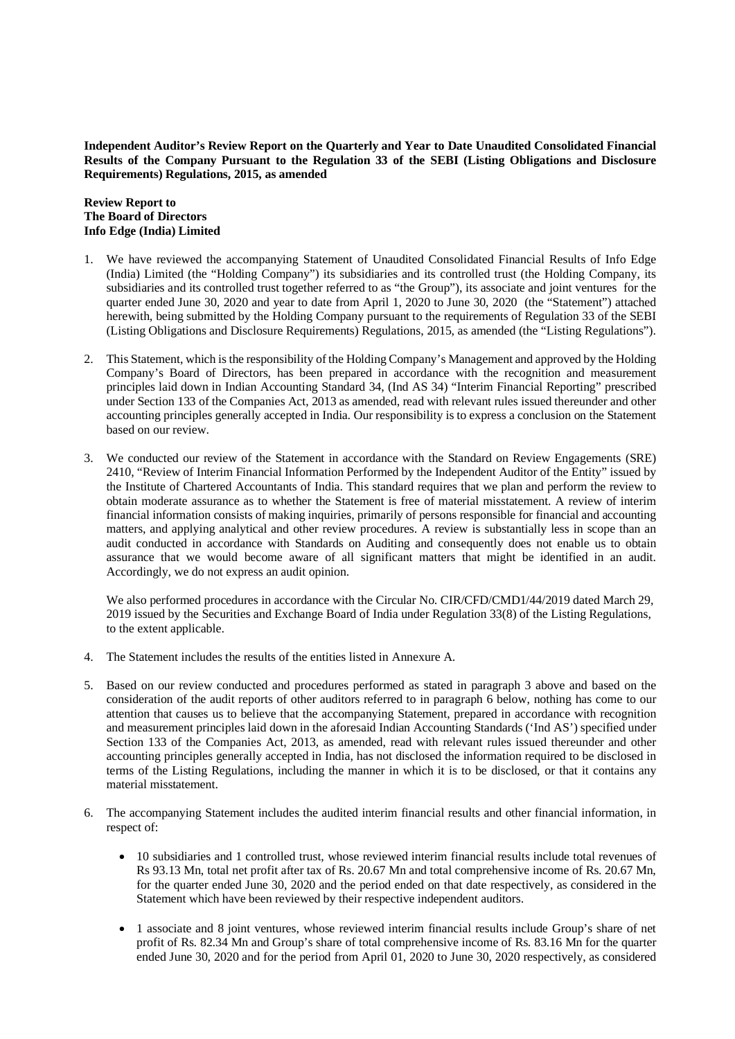**Independent Auditor's Review Report on the Quarterly and Year to Date Unaudited Consolidated Financial Results of the Company Pursuant to the Regulation 33 of the SEBI (Listing Obligations and Disclosure Requirements) Regulations, 2015, as amended**

**Review Report to The Board of Directors Info Edge (India) Limited**

- 1. We have reviewed the accompanying Statement of Unaudited Consolidated Financial Results of Info Edge (India) Limited (the "Holding Company") its subsidiaries and its controlled trust (the Holding Company, its subsidiaries and its controlled trust together referred to as "the Group"), its associate and joint ventures for the quarter ended June 30, 2020 and year to date from April 1, 2020 to June 30, 2020 (the "Statement") attached herewith, being submitted by the Holding Company pursuant to the requirements of Regulation 33 of the SEBI (Listing Obligations and Disclosure Requirements) Regulations, 2015, as amended (the "Listing Regulations").
- 2. This Statement, which is the responsibility of the Holding Company's Management and approved by the Holding Company's Board of Directors, has been prepared in accordance with the recognition and measurement principles laid down in Indian Accounting Standard 34, (Ind AS 34) "Interim Financial Reporting" prescribed under Section 133 of the Companies Act, 2013 as amended, read with relevant rules issued thereunder and other accounting principles generally accepted in India. Our responsibility is to express a conclusion on the Statement based on our review.
- 3. We conducted our review of the Statement in accordance with the Standard on Review Engagements (SRE) 2410, "Review of Interim Financial Information Performed by the Independent Auditor of the Entity" issued by the Institute of Chartered Accountants of India. This standard requires that we plan and perform the review to obtain moderate assurance as to whether the Statement is free of material misstatement. A review of interim financial information consists of making inquiries, primarily of persons responsible for financial and accounting matters, and applying analytical and other review procedures. A review is substantially less in scope than an audit conducted in accordance with Standards on Auditing and consequently does not enable us to obtain assurance that we would become aware of all significant matters that might be identified in an audit. Accordingly, we do not express an audit opinion.

We also performed procedures in accordance with the Circular No. CIR/CFD/CMD1/44/2019 dated March 29, 2019 issued by the Securities and Exchange Board of India under Regulation 33(8) of the Listing Regulations, to the extent applicable.

- 4. The Statement includes the results of the entities listed in Annexure A.
- 5. Based on our review conducted and procedures performed as stated in paragraph 3 above and based on the consideration of the audit reports of other auditors referred to in paragraph 6 below, nothing has come to our attention that causes us to believe that the accompanying Statement, prepared in accordance with recognition and measurement principles laid down in the aforesaid Indian Accounting Standards ('Ind AS') specified under Section 133 of the Companies Act, 2013, as amended, read with relevant rules issued thereunder and other accounting principles generally accepted in India, has not disclosed the information required to be disclosed in terms of the Listing Regulations, including the manner in which it is to be disclosed, or that it contains any material misstatement.
- 6. The accompanying Statement includes the audited interim financial results and other financial information, in respect of:
	- · 10 subsidiaries and 1 controlled trust, whose reviewed interim financial results include total revenues of Rs 93.13 Mn, total net profit after tax of Rs. 20.67 Mn and total comprehensive income of Rs. 20.67 Mn, for the quarter ended June 30, 2020 and the period ended on that date respectively, as considered in the Statement which have been reviewed by their respective independent auditors.
	- · 1 associate and 8 joint ventures, whose reviewed interim financial results include Group's share of net profit of Rs. 82.34 Mn and Group's share of total comprehensive income of Rs. 83.16 Mn for the quarter ended June 30, 2020 and for the period from April 01, 2020 to June 30, 2020 respectively, as considered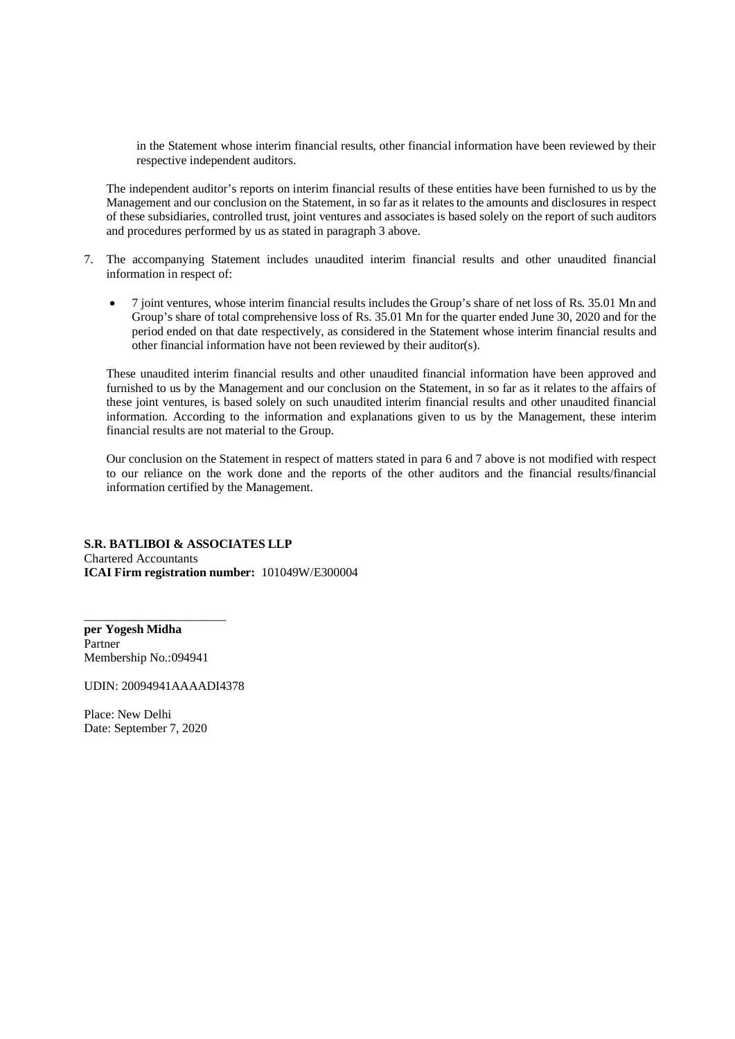in the Statement whose interim financial results, other financial information have been reviewed by their respective independent auditors.

The independent auditor's reports on interim financial results of these entities have been furnished to us by the Management and our conclusion on the Statement, in so far as it relates to the amounts and disclosures in respect of these subsidiaries, controlled trust, joint ventures and associates is based solely on the report of such auditors and procedures performed by us as stated in paragraph 3 above.

- 7. The accompanying Statement includes unaudited interim financial results and other unaudited financial information in respect of:
	- · 7 joint ventures, whose interim financial results includes the Group's share of net loss of Rs. 35.01 Mn and Group's share of total comprehensive loss of Rs. 35.01 Mn for the quarter ended June 30, 2020 and for the period ended on that date respectively, as considered in the Statement whose interim financial results and other financial information have not been reviewed by their auditor(s).

These unaudited interim financial results and other unaudited financial information have been approved and furnished to us by the Management and our conclusion on the Statement, in so far as it relates to the affairs of these joint ventures, is based solely on such unaudited interim financial results and other unaudited financial information. According to the information and explanations given to us by the Management, these interim financial results are not material to the Group.

Our conclusion on the Statement in respect of matters stated in para 6 and 7 above is not modified with respect to our reliance on the work done and the reports of the other auditors and the financial results/financial information certified by the Management.

### **S.R. BATLIBOI & ASSOCIATES LLP** Chartered Accountants **ICAI Firm registration number:** 101049W/E300004

**per Yogesh Midha** Partner Membership No.:094941

\_\_\_\_\_\_\_\_\_\_\_\_\_\_\_\_\_\_\_\_\_\_\_

UDIN: 20094941AAAADI4378

Place: New Delhi Date: September 7, 2020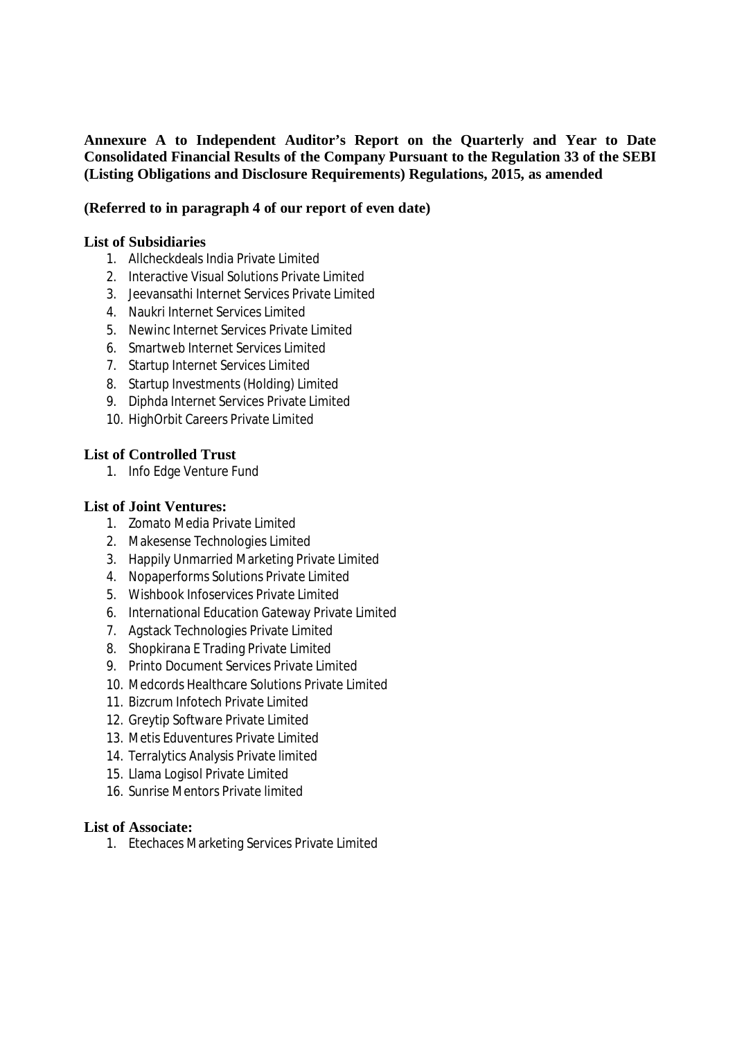# **Annexure A to Independent Auditor's Report on the Quarterly and Year to Date Consolidated Financial Results of the Company Pursuant to the Regulation 33 of the SEBI (Listing Obligations and Disclosure Requirements) Regulations, 2015, as amended**

# **(Referred to in paragraph 4 of our report of even date)**

## **List of Subsidiaries**

- 1. Allcheckdeals India Private Limited
- 2. Interactive Visual Solutions Private Limited
- 3. Jeevansathi Internet Services Private Limited
- 4. Naukri Internet Services Limited
- 5. Newinc Internet Services Private Limited
- 6. Smartweb Internet Services Limited
- 7. Startup Internet Services Limited
- 8. Startup Investments (Holding) Limited
- 9. Diphda Internet Services Private Limited
- 10. HighOrbit Careers Private Limited

## **List of Controlled Trust**

1. Info Edge Venture Fund

# **List of Joint Ventures:**

- 1. Zomato Media Private Limited
- 2. Makesense Technologies Limited
- 3. Happily Unmarried Marketing Private Limited
- 4. Nopaperforms Solutions Private Limited
- 5. Wishbook Infoservices Private Limited
- 6. International Education Gateway Private Limited
- 7. Agstack Technologies Private Limited
- 8. Shopkirana E Trading Private Limited
- 9. Printo Document Services Private Limited
- 10. Medcords Healthcare Solutions Private Limited
- 11. Bizcrum Infotech Private Limited
- 12. Greytip Software Private Limited
- 13. Metis Eduventures Private Limited
- 14. Terralytics Analysis Private limited
- 15. Llama Logisol Private Limited
- 16. Sunrise Mentors Private limited

## **List of Associate:**

1. Etechaces Marketing Services Private Limited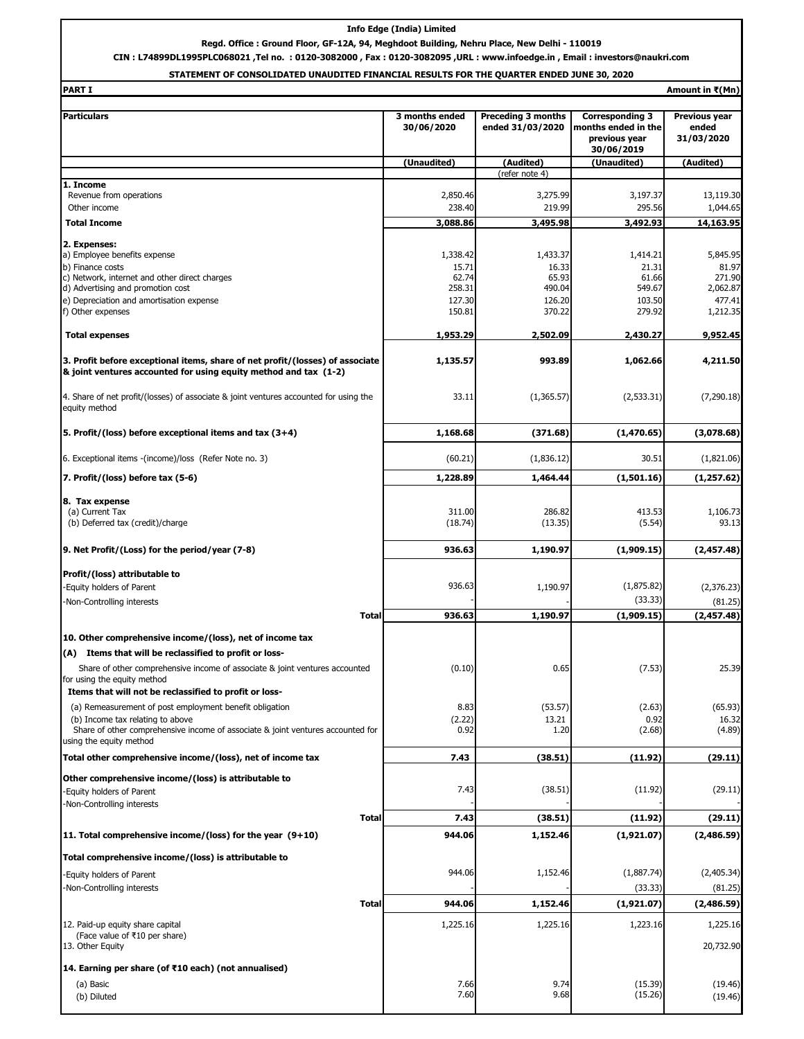### **Info Edge (India) Limited**

**Regd. Office : Ground Floor, GF-12A, 94, Meghdoot Building, Nehru Place, New Delhi - 110019**

**CIN : L74899DL1995PLC068021 ,Tel no. : 0120-3082000 , Fax : 0120-3082095 ,URL : www.infoedge.in , Email : investors@naukri.com**

### **STATEMENT OF CONSOLIDATED UNAUDITED FINANCIAL RESULTS FOR THE QUARTER ENDED JUNE 30, 2020**

| <b>PART I</b><br>Amount in ₹(Mn)                                                                                                                  |                   |                           |                                      |                      |
|---------------------------------------------------------------------------------------------------------------------------------------------------|-------------------|---------------------------|--------------------------------------|----------------------|
| <b>Particulars</b>                                                                                                                                | 3 months ended    | <b>Preceding 3 months</b> | <b>Corresponding 3</b>               | <b>Previous year</b> |
|                                                                                                                                                   | 30/06/2020        | ended 31/03/2020          | months ended in the<br>previous year | ended<br>31/03/2020  |
|                                                                                                                                                   | (Unaudited)       | (Audited)                 | 30/06/2019<br>(Unaudited)            | (Audited)            |
|                                                                                                                                                   |                   | (refer note 4)            |                                      |                      |
| 1. Income                                                                                                                                         |                   |                           |                                      |                      |
| Revenue from operations                                                                                                                           | 2,850.46          | 3,275.99                  | 3,197.37                             | 13,119.30            |
| Other income                                                                                                                                      | 238.40            | 219.99                    | 295.56                               | 1,044.65             |
| <b>Total Income</b>                                                                                                                               | 3,088.86          | 3,495.98                  | 3,492.93                             | 14,163.95            |
| 2. Expenses:                                                                                                                                      |                   |                           |                                      |                      |
| a) Employee benefits expense                                                                                                                      | 1,338.42          | 1,433.37                  | 1,414.21                             | 5,845.95             |
| b) Finance costs<br>c) Network, internet and other direct charges                                                                                 | 15.71<br>62.74    | 16.33<br>65.93            | 21.31<br>61.66                       | 81.97<br>271.90      |
| d) Advertising and promotion cost                                                                                                                 | 258.31            | 490.04                    | 549.67                               | 2,062.87             |
| e) Depreciation and amortisation expense                                                                                                          | 127.30            | 126.20                    | 103.50                               | 477.41               |
| f) Other expenses                                                                                                                                 | 150.81            | 370.22                    | 279.92                               | 1,212.35             |
| <b>Total expenses</b>                                                                                                                             | 1,953.29          | 2,502.09                  | 2,430.27                             | 9,952.45             |
| 3. Profit before exceptional items, share of net profit/(losses) of associate<br>& joint ventures accounted for using equity method and tax (1-2) | 1,135.57          | 993.89                    | 1,062.66                             | 4,211.50             |
| 4. Share of net profit/(losses) of associate & joint ventures accounted for using the<br>equity method                                            | 33.11             | (1,365.57)                | (2,533.31)                           | (7, 290.18)          |
| 5. Profit/(loss) before exceptional items and tax (3+4)                                                                                           | 1,168.68          | (371.68)                  | (1,470.65)                           | (3,078.68)           |
| 6. Exceptional items -(income)/loss (Refer Note no. 3)                                                                                            | (60.21)           | (1,836.12)                | 30.51                                | (1,821.06)           |
| 7. Profit/(loss) before tax (5-6)                                                                                                                 | 1,228.89          | 1,464.44                  | (1,501.16)                           | (1, 257.62)          |
| 8. Tax expense                                                                                                                                    |                   |                           |                                      |                      |
| (a) Current Tax<br>(b) Deferred tax (credit)/charge                                                                                               | 311.00<br>(18.74) | 286.82<br>(13.35)         | 413.53<br>(5.54)                     | 1,106.73<br>93.13    |
| 9. Net Profit/(Loss) for the period/year (7-8)                                                                                                    | 936.63            | 1,190.97                  | (1,909.15)                           | (2,457.48)           |
| Profit/(loss) attributable to                                                                                                                     |                   |                           |                                      |                      |
| -Equity holders of Parent                                                                                                                         | 936.63            | 1,190.97                  | (1,875.82)                           | (2,376.23)           |
| -Non-Controlling interests                                                                                                                        |                   |                           | (33.33)                              | (81.25)              |
| <b>Total</b>                                                                                                                                      | 936.63            | 1,190.97                  | (1,909.15)                           | (2,457.48)           |
| 10. Other comprehensive income/(loss), net of income tax                                                                                          |                   |                           |                                      |                      |
| (A) Items that will be reclassified to profit or loss-                                                                                            |                   |                           |                                      |                      |
| Share of other comprehensive income of associate & joint ventures accounted                                                                       | (0.10)            | 0.65                      | (7.53)                               | 25.39                |
| for using the equity method<br>Items that will not be reclassified to profit or loss-                                                             |                   |                           |                                      |                      |
| (a) Remeasurement of post employment benefit obligation                                                                                           | 8.83              | (53.57)                   | (2.63)                               | (65.93)              |
| (b) Income tax relating to above                                                                                                                  | (2.22)            | 13.21                     | 0.92                                 | 16.32                |
| Share of other comprehensive income of associate & joint ventures accounted for<br>using the equity method                                        | 0.92              | 1.20                      | (2.68)                               | (4.89)               |
| Total other comprehensive income/(loss), net of income tax                                                                                        | 7.43              | (38.51)                   | (11.92)                              | (29.11)              |
| Other comprehensive income/(loss) is attributable to                                                                                              |                   |                           |                                      |                      |
| Equity holders of Parent                                                                                                                          | 7.43              | (38.51)                   | (11.92)                              | (29.11)              |
| -Non-Controlling interests                                                                                                                        |                   |                           |                                      |                      |
| <b>Total</b>                                                                                                                                      | 7.43              | (38.51)                   | (11.92)                              | (29.11)              |
| 11. Total comprehensive income/(loss) for the year $(9+10)$                                                                                       | 944.06            | 1,152.46                  | (1,921.07)                           | (2,486.59)           |
| Total comprehensive income/(loss) is attributable to                                                                                              |                   |                           |                                      |                      |
| -Equity holders of Parent                                                                                                                         | 944.06            | 1,152.46                  | (1,887.74)                           | (2,405.34)           |
| -Non-Controlling interests                                                                                                                        |                   |                           | (33.33)                              | (81.25)              |
| Total                                                                                                                                             | 944.06            | 1,152.46                  | (1,921.07)                           | (2,486.59)           |
| 12. Paid-up equity share capital<br>(Face value of ₹10 per share)                                                                                 | 1,225.16          | 1,225.16                  | 1,223.16                             | 1,225.16             |
| 13. Other Equity                                                                                                                                  |                   |                           |                                      | 20,732.90            |
| 14. Earning per share (of ₹10 each) (not annualised)                                                                                              |                   |                           |                                      |                      |
| (a) Basic                                                                                                                                         | 7.66              | 9.74                      | (15.39)                              | (19.46)              |
| (b) Diluted                                                                                                                                       | 7.60              | 9.68                      | (15.26)                              | (19.46)              |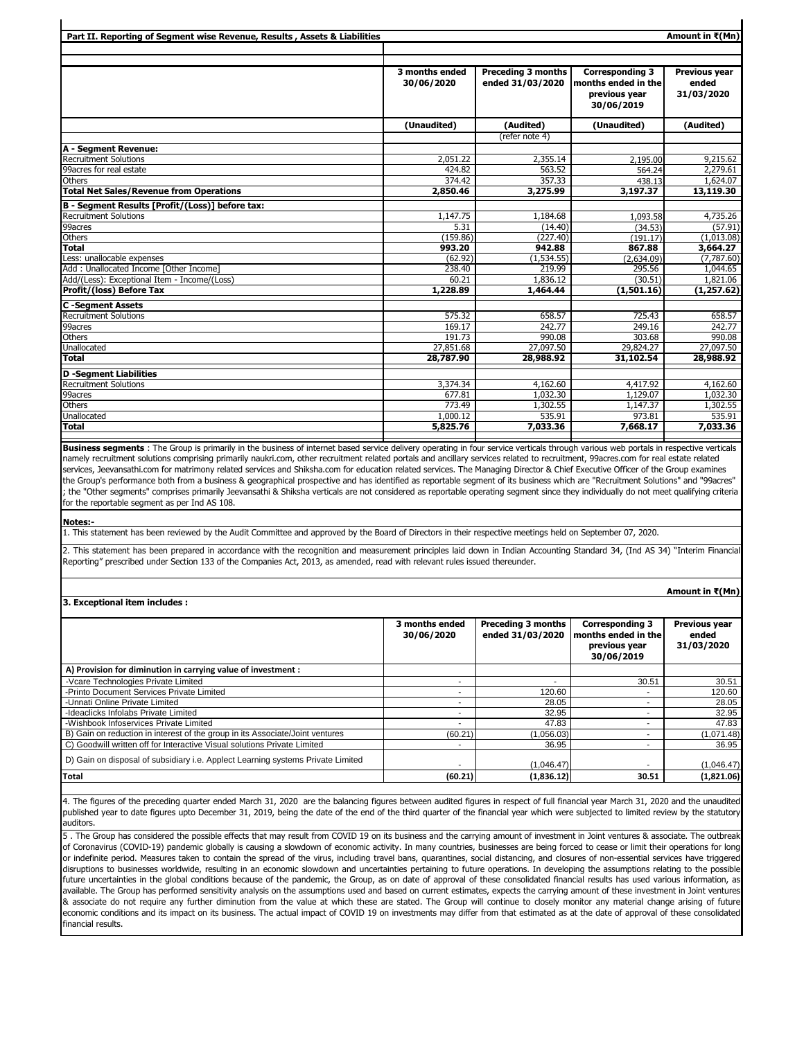| Part II. Reporting of Segment wise Revenue, Results, Assets & Liabilities |                              |                                               |                                                                              | Amount in ₹(Mn)                      |
|---------------------------------------------------------------------------|------------------------------|-----------------------------------------------|------------------------------------------------------------------------------|--------------------------------------|
|                                                                           |                              |                                               |                                                                              |                                      |
|                                                                           |                              |                                               |                                                                              |                                      |
|                                                                           | 3 months ended<br>30/06/2020 | <b>Preceding 3 months</b><br>ended 31/03/2020 | <b>Corresponding 3</b><br>months ended in the<br>previous year<br>30/06/2019 | Previous year<br>ended<br>31/03/2020 |
|                                                                           | (Unaudited)                  | (Audited)                                     | (Unaudited)                                                                  | (Audited)                            |
|                                                                           |                              | (refer note 4)                                |                                                                              |                                      |
| A - Segment Revenue:                                                      |                              |                                               |                                                                              |                                      |
| <b>Recruitment Solutions</b>                                              | 2,051.22                     | 2,355.14                                      | 2,195.00                                                                     | 9,215.62                             |
| 99acres for real estate                                                   | 424.82                       | 563.52                                        | 564.24                                                                       | 2,279.61                             |
| <b>Others</b>                                                             | 374.42                       | 357.33                                        | 438.13                                                                       | 1,624.07                             |
| <b>Total Net Sales/Revenue from Operations</b>                            | 2,850.46                     | 3,275.99                                      | 3,197.37                                                                     | 13,119.30                            |
| B - Segment Results [Profit/(Loss)] before tax:                           |                              |                                               |                                                                              |                                      |
| Recruitment Solutions                                                     | 1,147.75                     | 1,184.68                                      | 1,093.58                                                                     | 4,735.26                             |
| 99acres                                                                   | 5.31                         | (14.40)                                       | (34.53)                                                                      | (57.91)                              |
| Others                                                                    | (159.86)                     | (227.40)                                      | (191.17)                                                                     | (1,013.08)                           |
| <b>Total</b>                                                              | 993.20                       | 942.88                                        | 867.88                                                                       | 3,664.27                             |
| Less: unallocable expenses                                                | (62.92)                      | (1,534.55)                                    | (2,634.09)                                                                   | (7,787.60)                           |
| Add: Unallocated Income [Other Income]                                    | 238.40                       | 219.99                                        | 295.56                                                                       | 1.044.65                             |
| Add/(Less): Exceptional Item - Income/(Loss)                              | 60.21                        | 1.836.12                                      | (30.51)                                                                      | 1,821.06                             |
| Profit/(loss) Before Tax                                                  | 1,228.89                     | 1,464.44                                      | (1,501.16)                                                                   | (1, 257.62)                          |
| <b>C</b> -Segment Assets                                                  |                              |                                               |                                                                              |                                      |
| <b>Recruitment Solutions</b>                                              | 575.32                       | 658.57                                        | 725.43                                                                       | 658.57                               |
| 99acres                                                                   | 169.17                       | 242.77                                        | 249.16                                                                       | 242.77                               |
| <b>Others</b>                                                             | 191.73                       | 990.08                                        | 303.68                                                                       | 990.08                               |
| Unallocated                                                               | 27,851.68                    | 27,097.50                                     | 29,824.27                                                                    | 27,097.50                            |
| <b>Total</b>                                                              | 28,787.90                    | 28,988.92                                     | 31,102.54                                                                    | 28,988.92                            |
| <b>D</b> -Segment Liabilities                                             |                              |                                               |                                                                              |                                      |
| Recruitment Solutions                                                     | 3,374.34                     | 4,162.60                                      | 4,417.92                                                                     | 4,162.60                             |
| 99acres                                                                   | 677.81                       | 1.032.30                                      | 1,129.07                                                                     | 1,032.30                             |
| Others                                                                    | 773.49                       | 1,302.55                                      | 1,147.37                                                                     | 1,302.55                             |
| Unallocated                                                               | 1,000.12                     | 535.91                                        | 973.81                                                                       | 535.91                               |
| <b>Total</b>                                                              | 5,825.76                     | 7,033.36                                      | 7,668.17                                                                     | 7,033.36                             |

**Business segments** : The Group is primarily in the business of internet based service delivery operating in four service verticals through various web portals in respective verticals namely recruitment solutions comprising primarily naukri.com, other recruitment related portals and ancillary services related to recruitment, 99acres.com for real estate related services, Jeevansathi.com for matrimony related services and Shiksha.com for education related services. The Managing Director & Chief Executive Officer of the Group examines the Group's performance both from a business & geographical prospective and has identified as reportable segment of its business which are "Recruitment Solutions" and "99acres" ; the "Other segments" comprises primarily Jeevansathi & Shiksha verticals are not considered as reportable operating segment since they individually do not meet qualifying criteria for the reportable segment as per Ind AS 108.

**Notes:-**

 $\blacksquare$ 

1. This statement has been reviewed by the Audit Committee and approved by the Board of Directors in their respective meetings held on September 07, 2020.

2. This statement has been prepared in accordance with the recognition and measurement principles laid down in Indian Accounting Standard 34, (Ind AS 34) "Interim Financial Reporting" prescribed under Section 133 of the Companies Act, 2013, as amended, read with relevant rules issued thereunder.

#### **3. Exceptional item includes :**

 **3 months ended 30/06/2020 Preceding 3 months ended 31/03/2020 Corresponding 3 months ended in the previous year 30/06/2019 Previous year ended 31/03/2020 A) Provision for diminution in carrying value of investment :** -Vcare Technologies Private Limited 30.51 30.51 30.51 30.51 30.51 30.51 30.51 30.51 30.51 30.51 30.51 30.51 30<br>- Printo Document Services Private Limited 420.60 4120.60 30.51 30.51 3120.60 30.51 30.51 3120.60 30.51 3120.60 -Printo Document Services Private Limited -Unnati Online Private Limited 28.05 - 28.05 - 28.05 - 28.05 - 28.05 - 28.05 - 28.05 - 28.05 - 28.05 - 28.05 - 28.05 - 28.05 - 28.05 - 28.05 - 28.05 - 28.05 - 28.05 - 28.05 - 28.05 - 28.05 - 28.05 - 28.05 - 28.05 - 28.05 --Ideaclicks Infolabs Private Limited and Company of the Studies of the Studies of the Studies of the Studies of the Studies of the Studies of the Studies of the Studies of the Studies of the Studies of the Studies of the S -Wishbook Infoservices Private Limited 47.83 47.83<br>
B) Gain on reduction in interest of the group in its Associate/Joint ventures (60.21) (1,056.03) 47.83 (1,071.48) B) Gain on reduction in interest of the group in its Associate/Joint ventures C) Goodwill written off for Interactive Visual solutions Private Limited and Muslim and American Control of the Superintence of the Superintence of the Superintence of the Superintence of the Superintence of the Superinten D) Gain on disposal of subsidiary i.e. Applect Learning systems Private Limited  $(1,046.47)$   $(1,046.47)$ **Total (60.21) (1,836.12) 30.51 (1,821.06)**

4. The figures of the preceding quarter ended March 31, 2020 are the balancing figures between audited figures in respect of full financial year March 31, 2020 and the unaudited published year to date figures upto December 31, 2019, being the date of the end of the third quarter of the financial year which were subjected to limited review by the statutory auditors.

5. The Group has considered the possible effects that may result from COVID 19 on its business and the carrying amount of investment in Joint ventures & associate. The outbreak of Coronavirus (COVID-19) pandemic globally is causing a slowdown of economic activity. In many countries, businesses are being forced to cease or limit their operations for long or indefinite period. Measures taken to contain the spread of the virus, including travel bans, quarantines, social distancing, and closures of non-essential services have triggered disruptions to businesses worldwide, resulting in an economic slowdown and uncertainties pertaining to future operations. In developing the assumptions relating to the possible future uncertainties in the global conditions because of the pandemic, the Group, as on date of approval of these consolidated financial results has used various information, as available. The Group has performed sensitivity analysis on the assumptions used and based on current estimates, expects the carrying amount of these investment in Joint ventures & associate do not require any further diminution from the value at which these are stated. The Group will continue to closely monitor any material change arising of future economic conditions and its impact on its business. The actual impact of COVID 19 on investments may differ from that estimated as at the date of approval of these consolidated financial results.

#### **Amount in ₹(Mn)**

 $\mathbf{r}$